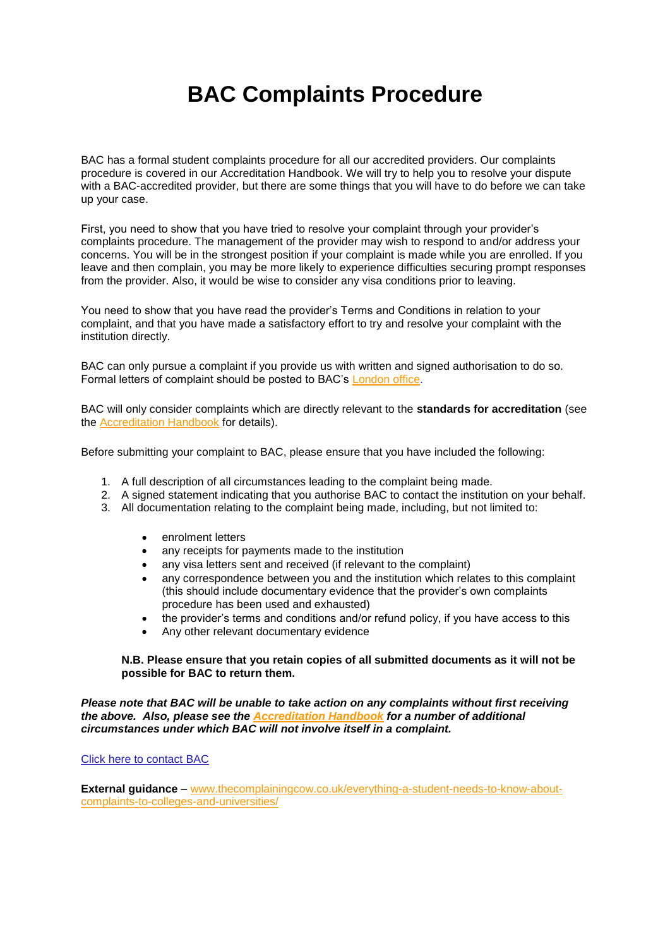## **BAC Complaints Procedure**

BAC has a formal student complaints procedure for all our accredited providers. Our complaints procedure is covered in our Accreditation Handbook. We will try to help you to resolve your dispute with a BAC-accredited provider, but there are some things that you will have to do before we can take up your case.

First, you need to show that you have tried to resolve your complaint through your provider's complaints procedure. The management of the provider may wish to respond to and/or address your concerns. You will be in the strongest position if your complaint is made while you are enrolled. If you leave and then complain, you may be more likely to experience difficulties securing prompt responses from the provider. Also, it would be wise to consider any visa conditions prior to leaving.

You need to show that you have read the provider's Terms and Conditions in relation to your complaint, and that you have made a satisfactory effort to try and resolve your complaint with the institution directly.

BAC can only pursue a complaint if you provide us with written and signed authorisation to do so. Formal letters of complaint should be posted to BAC's [London office.](http://www.the-bac.org/contact/)

BAC will only consider complaints which are directly relevant to the **standards for accreditation** (see the [Accreditation Handbook](http://www.the-bac.org/uk-accreditation/uk-accreditation-schemes/uk-college-accreditation-scheme/accreditation-handbook/) for details).

Before submitting your complaint to BAC, please ensure that you have included the following:

- 1. A full description of all circumstances leading to the complaint being made.
- 2. A signed statement indicating that you authorise BAC to contact the institution on your behalf.
- 3. All documentation relating to the complaint being made, including, but not limited to:
	- enrolment letters
	- any receipts for payments made to the institution
	- any visa letters sent and received (if relevant to the complaint)
	- any correspondence between you and the institution which relates to this complaint (this should include documentary evidence that the provider's own complaints procedure has been used and exhausted)
	- the provider's terms and conditions and/or refund policy, if you have access to this
	- Any other relevant documentary evidence

## **N.B. Please ensure that you retain copies of all submitted documents as it will not be possible for BAC to return them.**

*Please note that BAC will be unable to take action on any complaints without first receiving the above. Also, please see the [Accreditation Handbook](http://www.the-bac.org/uk-accreditation/uk-accreditation-schemes/uk-college-accreditation-scheme/accreditation-handbook/) for a number of additional circumstances under which BAC will not involve itself in a complaint.*

[Click here to contact BAC](http://www.the-bac.org/contact/)

**External guidance** – [www.thecomplainingcow.co.uk/everything-a-student-needs-to-know-about](http://www.thecomplainingcow.co.uk/everything-a-student-needs-to-know-about-complaints-to-colleges-and-universities/)[complaints-to-colleges-and-universities/](http://www.thecomplainingcow.co.uk/everything-a-student-needs-to-know-about-complaints-to-colleges-and-universities/)